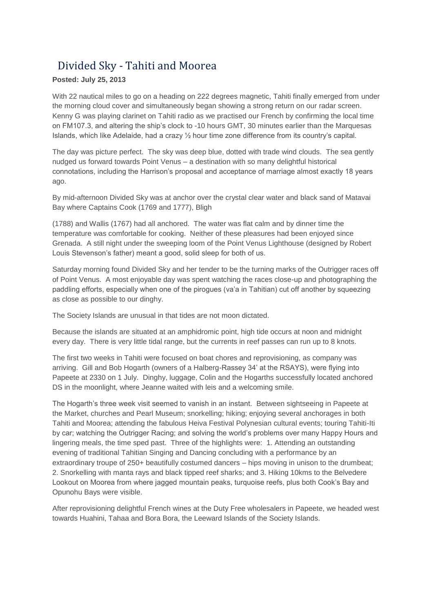## Divided Sky - Tahiti and Moorea

## **Posted: July 25, 2013**

With 22 nautical miles to go on a heading on 222 degrees magnetic, Tahiti finally emerged from under the morning cloud cover and simultaneously began showing a strong return on our radar screen. Kenny G was playing clarinet on Tahiti radio as we practised our French by confirming the local time on FM107.3, and altering the ship's clock to -10 hours GMT, 30 minutes earlier than the Marquesas Islands, which like Adelaide, had a crazy ½ hour time zone difference from its country's capital.

The day was picture perfect. The sky was deep blue, dotted with trade wind clouds. The sea gently nudged us forward towards Point Venus – a destination with so many delightful historical connotations, including the Harrison's proposal and acceptance of marriage almost exactly 18 years ago.

By mid-afternoon Divided Sky was at anchor over the crystal clear water and black sand of Matavai Bay where Captains Cook (1769 and 1777), Bligh

(1788) and Wallis (1767) had all anchored. The water was flat calm and by dinner time the temperature was comfortable for cooking. Neither of these pleasures had been enjoyed since Grenada. A still night under the sweeping loom of the Point Venus Lighthouse (designed by Robert Louis Stevenson's father) meant a good, solid sleep for both of us.

Saturday morning found Divided Sky and her tender to be the turning marks of the Outrigger races off of Point Venus. A most enjoyable day was spent watching the races close-up and photographing the paddling efforts, especially when one of the pirogues (va'a in Tahitian) cut off another by squeezing as close as possible to our dinghy.

The Society Islands are unusual in that tides are not moon dictated.

Because the islands are situated at an amphidromic point, high tide occurs at noon and midnight every day. There is very little tidal range, but the currents in reef passes can run up to 8 knots.

The first two weeks in Tahiti were focused on boat chores and reprovisioning, as company was arriving. Gill and Bob Hogarth (owners of a Halberg-Rassey 34' at the RSAYS), were flying into Papeete at 2330 on 1 July. Dinghy, luggage, Colin and the Hogarths successfully located anchored DS in the moonlight, where Jeanne waited with leis and a welcoming smile.

The Hogarth's three week visit seemed to vanish in an instant. Between sightseeing in Papeete at the Market, churches and Pearl Museum; snorkelling; hiking; enjoying several anchorages in both Tahiti and Moorea; attending the fabulous Heiva Festival Polynesian cultural events; touring Tahiti-Iti by car; watching the Outrigger Racing; and solving the world's problems over many Happy Hours and lingering meals, the time sped past. Three of the highlights were: 1. Attending an outstanding evening of traditional Tahitian Singing and Dancing concluding with a performance by an extraordinary troupe of 250+ beautifully costumed dancers – hips moving in unison to the drumbeat; 2. Snorkelling with manta rays and black tipped reef sharks; and 3. Hiking 10kms to the Belvedere Lookout on Moorea from where jagged mountain peaks, turquoise reefs, plus both Cook's Bay and Opunohu Bays were visible.

After reprovisioning delightful French wines at the Duty Free wholesalers in Papeete, we headed west towards Huahini, Tahaa and Bora Bora, the Leeward Islands of the Society Islands.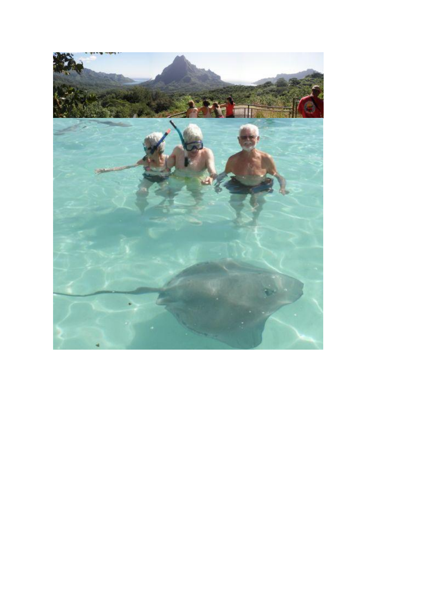